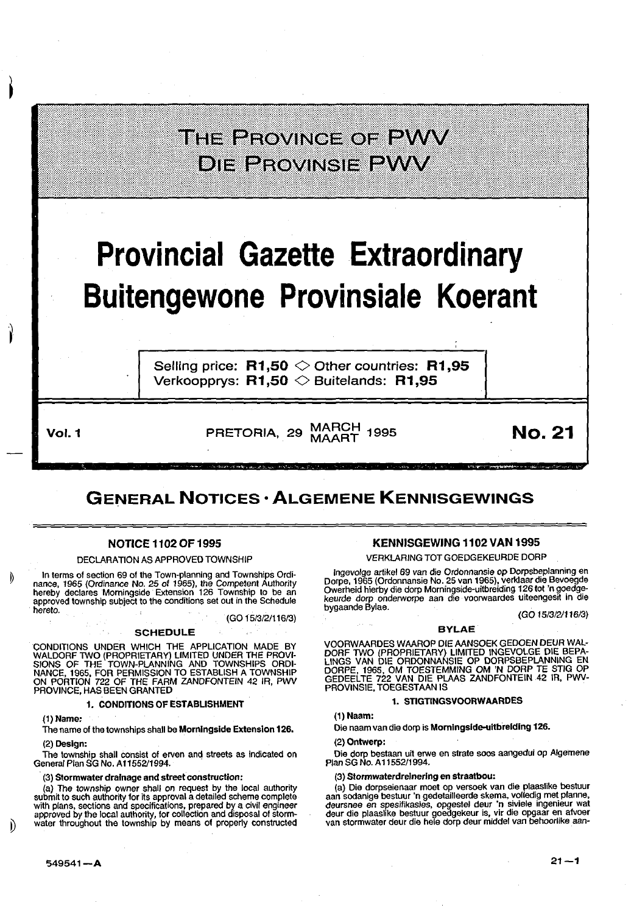# THE PROVINGE OF PWV **DIE PROVINSIE PWV**

# **Provincial Gazette Extraordinary Buitengewone Provinsiale Koerant**

Selling price:  $R1,50 \diamond 0$ ther countries:  $R1,95$ Verkoopprys:  $R1,50 \diamondsuit$  Buitelands: R1,95

**Vol. 1 PRETORIA, 29 MARCH 1995 No. 21** 

## GENERAL NOTICES· ALGEMENE KENNISGEWINGS

### NOTICE 1102 OF 1995

#### DECLARATION AS APPROVED TOWNSHIP

In terms of section 69 of the Town-planning and Townships Ordi-nance, 1965 (Ordinance No. 25 of 1965), the Competent Authority hereby declares Morningside Extension 126 Township to be an<br>approved township subject to the conditions set out in the Schedule hereto. . (GO 15/3/2/116/3)

#### SCHEDULE

CONDITIONS UNDER WHICH THE APPLICATION MADE BY WALDORF TWO (PROPRIETARY) LIMITED UNDER THE PROVI-SIONS OF THE TOWN-PLANNING AND TOWNSHIPS ORDI-NANCE, 1965, FOR PERMISSION TO ESTABLISH A TOWNSHIP ON PORTION 722 OF THE FARM ZANDFONTEIN 42 IR, PWV PROVINCE, HAS BEEN GRANTED

#### 1. CONDITIONS OF ESTABLISHMENT

(1) Name:

The name of the townships shall be Morningside Extension 126.

#### (2) Design:

The township shall consist of erven and streets as indicated on General Plan SG No. A11552/1994.

#### (3) Stormwater drainage and street construction:

(a) The township owner shall on request by the local authority submit to such authority for its approval a detailed scheme complete<br>with plans, sections and specifications, prepared by a civil engineer<br>approved by the local authority, for collection and disposal of stormwater throughout the township by means of properly constructed

I)

### KENNISGEWING 1102 VAN 1995

VERKLARING TOT GOEDGEKEURDE DORP

lngevolge artikel 69 *van* die Ordonnansie op Dorpsbeplanning en Dorpe, 1965 (Ordonnansie No. 25 van 1965), verklaar die Bevoegde Owerheid hierby die dorp Momingside-uitbreiding 126 tot 'n goedgekeurde dorp onderworpe aan die voorwaardes uiteengesit in die bygaande Bylae. (GO 1513/2/116/3)

#### BYLAE

VOORWMRDES WMROP DIE MNSOEK GEDOEN DEUR WAL-DORF TWO (PROPRIETARY) LIMITED INGEVOLGE DIE BEPA-LINGS VAN DIE ORDONNANSIE OP DORPSBEPLANNING EN DORPE, 1965, OM TOESTEMMING OM 'N DORP TE STIG OP GEDEELTE 722 VAN DIE PLAAS ZANDFONTEIN 42 lA, PWV-PROVINSIE, TOEGESTAAN IS

#### 1. STIGTINGSVOORWAARDES

#### (1) Naam:

Die naam van die dorp is Morningside-uitbreiding 126.

(2) Ontwerp:

Die dorp bestaan uit erwe en strata soos aangedui op Algemene Plan SG No. A 11552/1994.

#### (3) Stormwaterdrelnerlng en straatbou:

(a) Die dorpseienaar moet op versoek van die plaaslike bestuur aan sodanige bestuur 'n gedetailleerde skema, volledig met planne, deursnee en spesifikasies, opgestel deur 'n siviele ingenieur wat deur die plaaslike bestuur goedgekeur is, vir die opgaar en afvoer<br>van stormwater deur die hele dorp deur middel van behoorlike .aan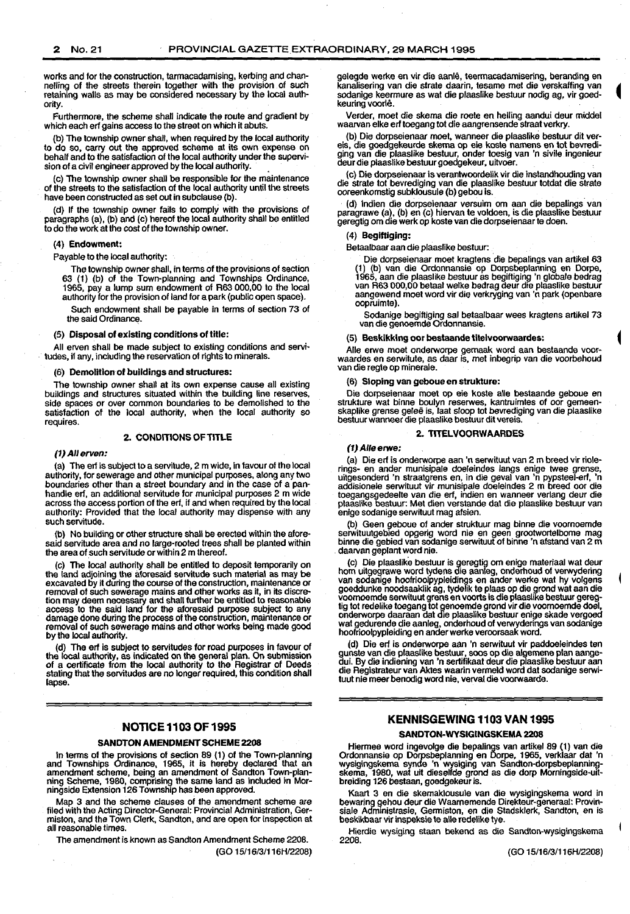works and for the construction, tarmacadamising, kerbing and channelling of the streets therein together with the provision of such retaining walls as may be considered necessary by the local authority.

Furthermore, the scheme shall indicate the route and gradient by which each erf gains access to the street on which it abuts.

(b) The township owner shall, when required by the local authority to do so, carry out the approved scheme at its own expense on behalf and to the satisfaction of the local authority under the supervision of a civil engineer approved by the local authority. .

(c) The township owner shall be responsible for the maintenance of the streets to the satisfaction of the local authority until the streets have been constructed as set out in subclause (b).

(d) If the township owner fails to comply with the provisions of paragraphs (a), (b) and (c) hereof the local authority shall be entitled to do the work at the cost of the township owner.

#### (4) Endowment:

Payable to the local authority:

The township owner shall, in terms of the provisions of section 63 (1) (b) of the Town-planning and Townships Ordinance, 1965, pay a lump sum endowment of R63 000,00 to the local authority for the provision of land for a park (public open space).

Such endowment shall be payable in terms of section 73 of the said Ordinance.

#### (5) Disposal of existing conditions of title:

All erven shall be made subject to existing conditions and servi- . tudes, if any, including the reservation of rights to minerals.

#### (6) Demolition of buildings and structures:

The township owner shall at its own expense cause all existing buildings and structures situated within the building line reserves, side spaces or over common boundaries to be demolished to the satisfaction of the local authority, when the local authority so requires.

#### 2. CONDITIONS OF TITLE

#### *(1) All erven:*

(a) The erf is subject to a servitude, 2m wide, in favour of the local authority, tor sewerage and other municipal purposes, along any two boundaries other than a street boundary and in the case of a panhandle erf, an additional servilude for municipal purposes 2 m wide across the access portion of the erf, if and when required by the local authority: Provided that the local authority *may* dispense with any such servitude.

(b) No building or other structure shall be erected within the aforesaid servitude area and no large-rooted trees shall be planted within the area of such servitude or within 2 m thereof.

(c) The local authority shall be entitled to deposit temporarily on the land adjoining the aforesaid servitude such material as may be excavated by it during the course of the construction, maintenance or removal of such sewerage mains and other works as it, in its discretion may deem necessary and shall further be entitled to reasonable aocess to the said land for the aforesaid purpose subject to any damage done during the process of the construction, maintenance or removal of such sewerage mains and other works being made good by the local authority.

(d) The erf is subject to servitudes for road purposes in favour of the local authority, as indicated on the general plan. On submission of a certificate from the local authority to the Registrar of Deeds stating that the servitudes are no longer required, this condition shall lapse.

#### **NOTICE 1103 OF 1995**

#### SANDTON AMENDMENT SCHEME 2208

In terms of the provisions of section 89 ( 1) of the Town-planning and Townships Ordinance, 1965, it is hereby declared that an amendment scheme, being an amendment of Sandton Town-plan-ning Scheme, 1980, comprising the same land as included in Morningside Extension 126 Township has been approved.

Map 3 and the scheme clauses of the amendment scheme are filed with the Acting Director-General: Provincial Administration, Garmiston, and the Town Clerk, Sandton, and are open for inspection at all reasonable times.

The amendment is known as Sandton Amendment Scheme 2208.

(GO 15/16/3/116H/2208)

gelegde werke en vir die aanle, teermacadamisering, beranding en kanalisering van die strate daarin, tesame met die verskaffing van sodanige keermure as wat die plaaslike bestuur nodig ag, vir goedkeuring voorle.

Verder, moet die skema die roete en helling aandui deur middel waarvan elke erf toegang tot die aangrensende straat verkry.

(b) Die dorpseienaar moet, wanneer die plaaslike bestuur dit vereis, die goedgekeurde skema op eie koste narnens en tot bevredi-ging van die plaaslike bestuur, onder toesig van 'n sivile ingenieur deur die plaaslike bestuur goedgekeur, uitvoer. .

(c) Die dorpseienaar is verantwoordelik vir die instandhouding van die strate tot bevrediging *van* die plaaslike bestuur totdat die strate ooreenkomstig subklousule (b) gebou is.

(d) indien die dorpseienaar versuim om aan die bepalings van paragrawe (a), (b) en (c) hiervan te voldoen, is die plaaslike bestuur geregtig om die werk op koste van die dorpseienaar te doen.

#### (4) Beaiftiaina:

Betaalbaar aan die plaaslike bestuur: .

Die dorpseienaar moet kragtens die bepalings *van* artikel 63 (1) (b) van die Ordonnansie op Dorpsbeplanning en Dorpe, 1965, aan die plaaslike bestuur as begiftiging 'n globale bedrag van R63 000,00 betaal welke bedrag deur die plaaslike bestuur aangewend moet word vir die verkryging van 'n park (openbare oopruimte).

Sodanige begiftiging sal betaalbaar wees kragtens artikel 73 van die genoemde Ordonnansie.

#### (5) Besklkklng oor bestaande titelvoorwaardes: <sup>~</sup>

Aile erwe moet onderworpe gemaak word aan bestaande voor-waardes en serwitute, as daar is, met inbegrip van die voorbehoud van die regte op minerale.

#### (6) Sloping van geboue en strukture:

Die dorpseienaar moet op eie koste aile bestaande geboue en strukture wat binne boulyn reserwes, kantruimtes of oor gemeen-skaplike grense gelee is, laat sloop tot bevrediging van die plaaslike bestuur wanneer die plaaslike bestuur dit vereis.

#### 2. TITELVOORWAARDES

#### (1)AIIeerwe:

(a) Die erf is onderworpe aan 'n serwituut van 2 m breed vir riolerings- en ander munisipale doeleindes langs enige twee grense, uitgesonderd 'n straatgrens en, in die geval van 'n pypsteel-erf, 'n addisionele serwituut vir munisipale doeleindes 2 m breed oar die toegangsgedeelte van die erf, indien en wanneer verlang deur die plaaslike bestuur: Met dien verstande dat die plaaslike bestuur van enige sodanige serwituut mag afsien.

(b) Geen geboue of ander struktuur mag binne die voomoemde serwituutgebied opgerig word nie en geen grootwortelbome mag binne die gebied van sodanige serwituut of binne 'n afstand van 2 m . daarvan geplant word nie.

(c) Die plaaslike bestuur is geregtig om enige materiaal wat deur hom uitgegrawe word tydens die aanleg, onderhoud of verwydering van sodanige hoofrioolpypleidings en ander werke wat hy volgens goeddunke noodsaaklik ag, tydelik te plaas op die grond wat aan die voomoemde serwituut grens en voorts is die plaaslike bestuur geregtig tot redelike toegang tot genoemde grand vir die voomoemde doel, onderworpe daaraan dat die plaaslike bestuur enige skade vergoed wat gedurende die aanleg, onderhoud of verwyderings van sodanige hoofrioolpypleiding en ander werke veroorsaak word.

(d) Die erl is onderworpe aan 'n serwituut vir paddoeleindes ten gunste van die plaaslike bestuur, soos op die aklemene plan aange-dui. By die indiening van 'n sertifikaat deur die plaaslike bestuur aan die Regislrateur van Aktes waarin vermeld word dat sodanige serwituut nie meer benodig word nie, verval die voorwaarde.

## KENNISGEWING 1103 VAN 1995

#### SANDTON-WYSIGINGSKEMA 2208

Hiermee word ingevolge die bepalings van artikel 89 (1) van die Ordonnansie op Dorpsbeplanning en Dorpe, 1965, verklaar dat 'n wysigingskema synde 'n wysiging van Sandton-dorpsbeplanning-<br>skema, 1980, wat uit dieselfde grond as die dorp Morningside-uitbreiding 126 bestaan, goedgekeur is.

Kaart 3 en die skemaklousule van die wysigingskema word in bewaring Qehou deur die Waamemende Direkleur-generaal: Provinsiale Administrasie, Germiston, en die Stadsklerk, Sandton, en is beskikbaar vir inspeksie te aile redelike tye.

Hierdie wysiging staan bekend as die Sandton-wysigingskema 2208.

(GO 15/16/3/116H/2208)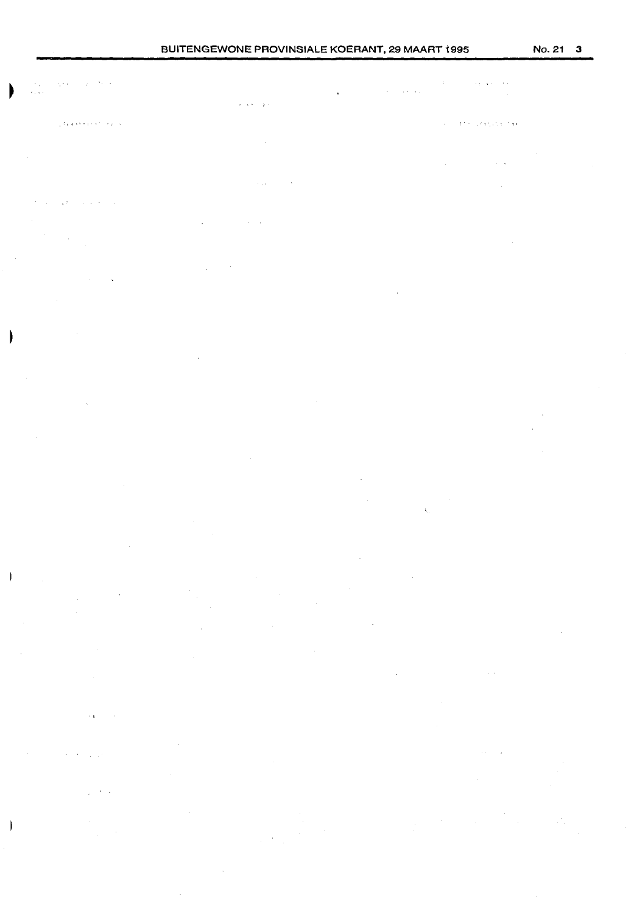$\lambda_{\rm{max}}$  $\hat{\eta}$  and  $\sim 10$ 

## $\frac{1}{2}J_A$  and the set of  $\hat{J}_A$  ,  $\hat{J}_B$

#### $\sqrt{2}$  $\mathcal{A}^{\mathcal{A}}$  and  $\mathcal{A}^{\mathcal{A}}$  and  $\mathcal{A}^{\mathcal{A}}$

I

Ì

 $\begin{array}{c} \rule{0pt}{2ex} \rule{0pt}{2ex} \rule{0pt}{2ex} \rule{0pt}{2ex} \rule{0pt}{2ex} \rule{0pt}{2ex} \rule{0pt}{2ex} \rule{0pt}{2ex} \rule{0pt}{2ex} \rule{0pt}{2ex} \rule{0pt}{2ex} \rule{0pt}{2ex} \rule{0pt}{2ex} \rule{0pt}{2ex} \rule{0pt}{2ex} \rule{0pt}{2ex} \rule{0pt}{2ex} \rule{0pt}{2ex} \rule{0pt}{2ex} \rule{0pt}{2ex} \rule{0pt}{2ex} \rule{0pt}{2ex} \rule{0pt}{2ex} \rule{0pt}{$ 

 $\mathcal{L}_{\mathcal{L}}$ 

# $\bar{\alpha}$

 $\alpha$  $\frac{1}{2}$  , where

 $\ddot{\phantom{a}}$ ر<br>د الانتخاب

 $\mathcal{A}$ 

 $\sim 10$ ÷.

 $\hat{u}^{\dagger}$  ,  $\hat{u}^{\dagger}$  ,  $\hat{u}^{\dagger}$ 

 $\alpha$  , and  $\alpha$  ,  $\alpha$  ,  $\alpha$  ,  $\alpha$  $\bar{\bar{\bar{z}}}$  .

a control seguity the

 $\frac{1}{2} \frac{1}{2} \frac{1}{2}$